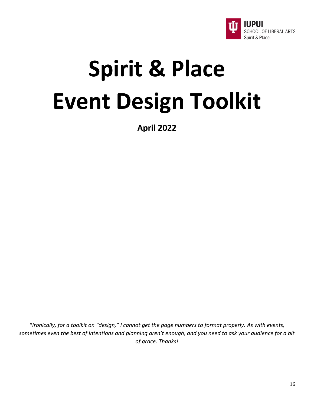

# **Spirit & Place Event Design Toolkit**

**April 2022**

*\*Ironically, for a toolkit on "design," I cannot get the page numbers to format properly. As with events, sometimes even the best of intentions and planning aren't enough, and you need to ask your audience for a bit of grace. Thanks!*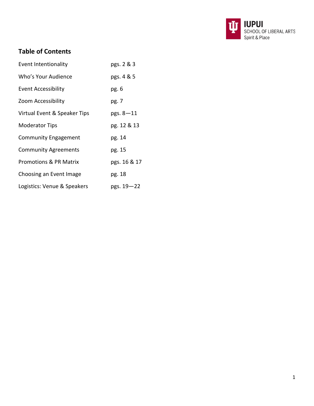

# **Table of Contents**

| <b>Event Intentionality</b>       | pgs. 2 & 3    |
|-----------------------------------|---------------|
| Who's Your Audience               | pgs. 4 & 5    |
| <b>Event Accessibility</b>        | pg. 6         |
| Zoom Accessibility                | pg. 7         |
| Virtual Event & Speaker Tips      | $pgs. 8 - 11$ |
| <b>Moderator Tips</b>             | pg. 12 & 13   |
| <b>Community Engagement</b>       | pg. 14        |
| <b>Community Agreements</b>       | pg. 15        |
| <b>Promotions &amp; PR Matrix</b> | pgs. 16 & 17  |
| Choosing an Event Image           | pg. 18        |
| Logistics: Venue & Speakers       | pgs. 19–22    |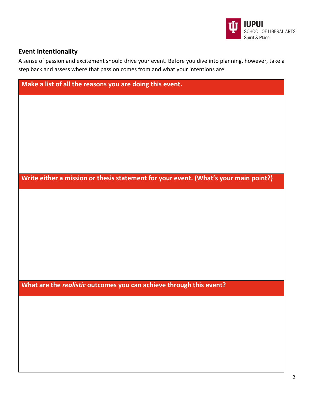

# **Event Intentionality**

A sense of passion and excitement should drive your event. Before you dive into planning, however, take a step back and assess where that passion comes from and what your intentions are.

| Make a list of all the reasons you are doing this event.                             |
|--------------------------------------------------------------------------------------|
|                                                                                      |
|                                                                                      |
|                                                                                      |
|                                                                                      |
|                                                                                      |
| Write either a mission or thesis statement for your event. (What's your main point?) |
|                                                                                      |
|                                                                                      |
|                                                                                      |
|                                                                                      |
|                                                                                      |
| What are the realistic outcomes you can achieve through this event?                  |
|                                                                                      |
|                                                                                      |
|                                                                                      |
|                                                                                      |
|                                                                                      |
|                                                                                      |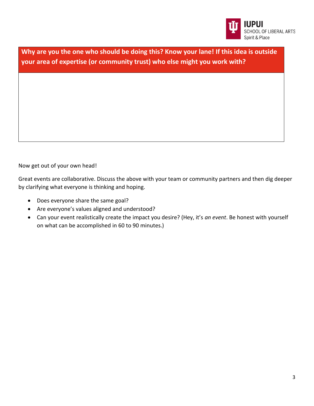

**Why are you the one who should be doing this? Know your lane! If this idea is outside your area of expertise (or community trust) who else might you work with?**

Now get out of your own head!

Great events are collaborative. Discuss the above with your team or community partners and then dig deeper by clarifying what everyone is thinking and hoping.

- Does everyone share the same goal?
- Are everyone's values aligned and understood?
- Can your event realistically create the impact you desire? (Hey, it's *an event*. Be honest with yourself on what can be accomplished in 60 to 90 minutes.)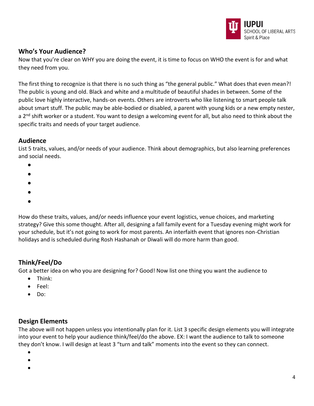

# **Who's Your Audience?**

Now that you're clear on WHY you are doing the event, it is time to focus on WHO the event is for and what they need from you.

The first thing to recognize is that there is no such thing as "the general public." What does that even mean?! The public is young and old. Black and white and a multitude of beautiful shades in between. Some of the public love highly interactive, hands-on events. Others are introverts who like listening to smart people talk about smart stuff. The public may be able-bodied or disabled, a parent with young kids or a new empty nester, a 2<sup>nd</sup> shift worker or a student. You want to design a welcoming event for all, but also need to think about the specific traits and needs of your target audience.

#### **Audience**

List 5 traits, values, and/or needs of your audience. Think about demographics, but also learning preferences and social needs.

- •
- •
- •
- •
- •

How do these traits, values, and/or needs influence your event logistics, venue choices, and marketing strategy? Give this some thought. After all, designing a fall family event for a Tuesday evening might work for your schedule, but it's not going to work for most parents. An interfaith event that ignores non-Christian holidays and is scheduled during Rosh Hashanah or Diwali will do more harm than good.

# **Think/Feel/Do**

Got a better idea on who you are designing for? Good! Now list one thing you want the audience to

- Think:
- Feel:
- Do:

# **Design Elements**

The above will not happen unless you intentionally plan for it. List 3 specific design elements you will integrate into your event to help your audience think/feel/do the above. EX: I want the audience to talk to someone they don't know. I will design at least 3 "turn and talk" moments into the event so they can connect.

- •
- •
- •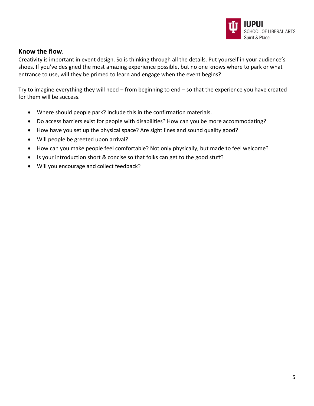

#### **Know the flow**.

Creativity is important in event design. So is thinking through all the details. Put yourself in your audience's shoes. If you've designed the most amazing experience possible, but no one knows where to park or what entrance to use, will they be primed to learn and engage when the event begins?

Try to imagine everything they will need – from beginning to end – so that the experience you have created for them will be success.

- Where should people park? Include this in the confirmation materials.
- Do access barriers exist for people with disabilities? How can you be more accommodating?
- How have you set up the physical space? Are sight lines and sound quality good?
- Will people be greeted upon arrival?
- How can you make people feel comfortable? Not only physically, but made to feel welcome?
- Is your introduction short & concise so that folks can get to the good stuff?
- Will you encourage and collect feedback?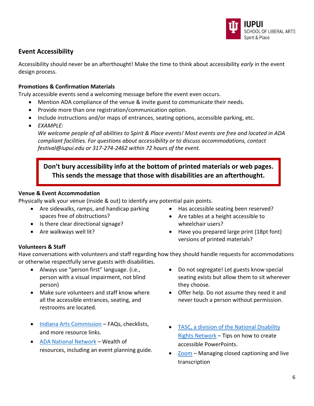

# **Event Accessibility**

Accessibility should never be an afterthought! Make the time to think about accessibility *early* in the event design process.

#### **Promotions & Confirmation Materials**

Truly accessible events send a welcoming message before the event even occurs.

- Mention ADA compliance of the venue & invite guest to communicate their needs.
- Provide more than one registration/communication option.
- Include instructions and/or maps of entrances, seating options, accessible parking, etc.
- *EXAMPLE:*

*We welcome people of all abilities to Spirit & Place events! Most events are free and located in ADA compliant facilities. For questions about accessibility or to discuss accommodations, contact festival@iupui.edu or 317-274-2462 within 72 hours of the event.*

**Don't bury accessibility info at the bottom of printed materials or web pages. This sends the message that those with disabilities are an afterthought.**

#### **Venue & Event Accommodation**

Physically walk your venue (inside & out) to identify any potential pain points.

- Are sidewalks, ramps, and handicap parking spaces free of obstructions?
- Is there clear directional signage?
- Are walkways well lit?
- Has accessible seating been reserved?
- Are tables at a height accessible to wheelchair users?
- Have you prepared large print (18pt font) versions of printed materials?

#### **Volunteers & Staff**

Have conversations with volunteers and staff regarding how they should handle requests for accommodations or otherwise respectfully serve guests with disabilities.

- Always use "person first" language. (i.e., person with a visual impairment, not blind person)
- Make sure volunteers and staff know where all the accessible entrances, seating, and restrooms are located.
- [Indiana Arts Commission](https://www.in.gov/arts/programs-and-services/resources/accessibility/) FAQs, checklists, and more resource links.
- [ADA National Network](https://adata.org/guide/planning-guide-making-temporary-events-accessible-people-disabilities) Wealth of resources, including an event planning guide.
- Do not segregate! Let guests know special seating exists but allow them to sit wherever they choose.
- Offer help. Do not assume they need it and never touch a person without permission.
- [TASC, a division of the National Disability](https://www.aucd.org/docs/add/sa_summits/AccessiblePowerPoints%20text%20(1-22-09).pdf)  [Rights Network](https://www.aucd.org/docs/add/sa_summits/AccessiblePowerPoints%20text%20(1-22-09).pdf) – Tips on how to create accessible PowerPoints.
- [Zoom](https://support.zoom.us/hc/en-us/articles/207279736-Managing-closed-captioning-and-live-transcription) Managing closed captioning and live transcription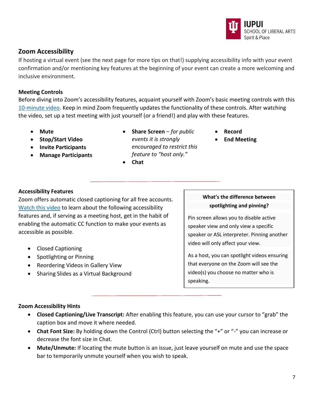# **Zoom Accessibility**

If hosting a virtual event (see the next page for more tips on that!) supplying accessibility info with your event confirmation and/or mentioning key features at the beginning of your event can create a more welcoming and inclusive environment.

#### **Meeting Controls**

Before diving into Zoom's accessibility features, acquaint yourself with Zoom's basic meeting controls with this [10-minute video.](https://www.youtube.com/embed/ygZ96J_z4AY?rel=0&autoplay=1&cc_load_policy=1) Keep in mind Zoom frequently updates the functionality of these controls. After watching the video, set up a test meeting with just yourself (or a friend!) and play with these features.

- **Mute**
- **Stop/Start Video**
- **Invite Participants**
- **Manage Participants**
- **Share Screen** *for public events it is strongly encouraged to restrict this feature to "host only."*
- **Chat**

**What's the difference between** 

• **Record**

• **End Meeting**

#### **spotlighting and pinning?**

Pin screen allows you to disable active speaker view and only view a specific speaker or ASL interpreter. Pinning another video will only affect your view.

As a host, you can spotlight videos ensuring that everyone on the Zoom will see the video(s) you choose no matter who is speaking.

# accessible as possible.

**Accessibility Features**

- Closed Captioning
- Spotlighting or Pinning
- Reordering Videos in Gallery View
- Sharing Slides as a Virtual Background

Zoom offers automatic closed captioning for all free accounts. [Watch this video](https://www.youtube.com/embed/hIWSoH3aMMg) to learn about the following accessibility features and, if serving as a meeting host, get in the habit of enabling the automatic CC function to make your events as

#### **Zoom Accessibility Hints**

- **Closed Captioning/Live Transcript:** After enabling this feature, you can use your cursor to "grab" the caption box and move it where needed.
- **Chat Font Size:** By holding down the Control (Ctrl) button selecting the "+" or "-" you can increase or decrease the font size in Chat.
- **Mute/Unmute:** If locating the mute button is an issue, just leave yourself on mute and use the space bar to temporarily unmute yourself when you wish to speak.

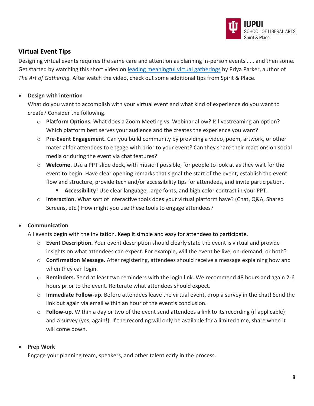

# **Virtual Event Tips**

Designing virtual events requires the same care and attention as planning in-person events . . . and then some. Get started by watching this short video on [leading meaningful virtual gatherings](https://www.youtube.com/watch?v=2yLjrYijlIw) by Priya Parker, author of *The Art of Gathering.* After watch the video, check out some additional tips from Spirit & Place.

#### • **Design with intention**

What do you want to accomplish with your virtual event and what kind of experience do you want to create? Consider the following.

- o **Platform Options.** What does a Zoom Meeting vs. Webinar allow? Is livestreaming an option? Which platform best serves your audience and the creates the experience you want?
- o **Pre-Event Engagement.** Can you build community by providing a video, poem, artwork, or other material for attendees to engage with prior to your event? Can they share their reactions on social media or during the event via chat features?
- o **Welcome.** Use a PPT slide deck, with music if possible, for people to look at as they wait for the event to begin. Have clear opening remarks that signal the start of the event, establish the event flow and structure, provide tech and/or accessibility tips for attendees, and invite participation.
	- **Accessibility!** Use clear language, large fonts, and high color contrast in your PPT.
- o **Interaction.** What sort of interactive tools does your virtual platform have? (Chat, Q&A, Shared Screens, etc.) How might you use these tools to engage attendees?

#### • **Communication**

All events begin with the invitation. Keep it simple and easy for attendees to participate.

- o **Event Description.** Your event description should clearly state the event is virtual and provide insights on what attendees can expect. For example, will the event be live, on-demand, or both?
- o **Confirmation Message.** After registering, attendees should receive a message explaining how and when they can login.
- o **Reminders.** Send at least two reminders with the login link. We recommend 48 hours and again 2-6 hours prior to the event. Reiterate what attendees should expect.
- o **Immediate Follow-up.** Before attendees leave the virtual event, drop a survey in the chat! Send the link out again via email within an hour of the event's conclusion.
- o **Follow-up.** Within a day or two of the event send attendees a link to its recording (if applicable) and a survey (yes, again!). If the recording will only be available for a limited time, share when it will come down.

#### • **Prep Work**

Engage your planning team, speakers, and other talent early in the process.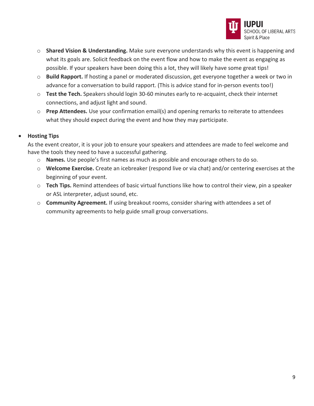

- o **Shared Vision & Understanding.** Make sure everyone understands why this event is happening and what its goals are. Solicit feedback on the event flow and how to make the event as engaging as possible. If your speakers have been doing this a lot, they will likely have some great tips!
- o **Build Rapport.** If hosting a panel or moderated discussion, get everyone together a week or two in advance for a conversation to build rapport. (This is advice stand for in-person events too!)
- o **Test the Tech.** Speakers should login 30-60 minutes early to re-acquaint, check their internet connections, and adjust light and sound.
- o **Prep Attendees.** Use your confirmation email(s) and opening remarks to reiterate to attendees what they should expect during the event and how they may participate.

#### • **Hosting Tips**

As the event creator, it is your job to ensure your speakers and attendees are made to feel welcome and have the tools they need to have a successful gathering.

- o **Names.** Use people's first names as much as possible and encourage others to do so.
- o **Welcome Exercise.** Create an icebreaker (respond live or via chat) and/or centering exercises at the beginning of your event.
- o **Tech Tips.** Remind attendees of basic virtual functions like how to control their view, pin a speaker or ASL interpreter, adjust sound, etc.
- o **Community Agreement.** If using breakout rooms, consider sharing with attendees a set of community agreements to help guide small group conversations.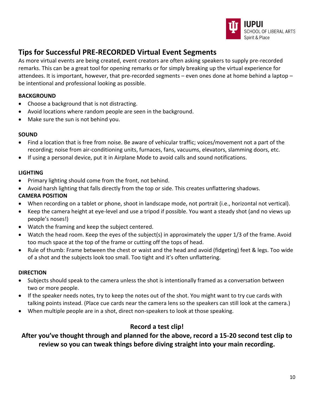

# **Tips for Successful PRE-RECORDED Virtual Event Segments**

As more virtual events are being created, event creators are often asking speakers to supply pre-recorded remarks. This can be a great tool for opening remarks or for simply breaking up the virtual experience for attendees. It is important, however, that pre-recorded segments – even ones done at home behind a laptop – be intentional and professional looking as possible.

#### **BACKGROUND**

- Choose a background that is not distracting.
- Avoid locations where random people are seen in the background.
- Make sure the sun is not behind you.

#### **SOUND**

- Find a location that is free from noise. Be aware of vehicular traffic; voices/movement not a part of the recording; noise from air-conditioning units, furnaces, fans, vacuums, elevators, slamming doors, etc.
- If using a personal device, put it in Airplane Mode to avoid calls and sound notifications.

#### **LIGHTING**

- Primary lighting should come from the front, not behind.
- Avoid harsh lighting that falls directly from the top or side. This creates unflattering shadows.

#### **CAMERA POSITION**

- When recording on a tablet or phone, shoot in landscape mode, not portrait (i.e., horizontal not vertical).
- Keep the camera height at eye-level and use a tripod if possible. You want a steady shot (and no views up people's noses!)
- Watch the framing and keep the subject centered.
- Watch the head room. Keep the eyes of the subject(s) in approximately the upper 1/3 of the frame. Avoid too much space at the top of the frame or cutting off the tops of head.
- Rule of thumb: Frame between the chest or waist and the head and avoid (fidgeting) feet & legs. Too wide of a shot and the subjects look too small. Too tight and it's often unflattering.

#### **DIRECTION**

- Subjects should speak to the camera unless the shot is intentionally framed as a conversation between two or more people.
- If the speaker needs notes, try to keep the notes out of the shot. You might want to try cue cards with talking points instead. (Place cue cards near the camera lens so the speakers can still look at the camera.)
- When multiple people are in a shot, direct non-speakers to look at those speaking.

# **Record a test clip!**

# **After you've thought through and planned for the above, record a 15-20 second test clip to review so you can tweak things before diving straight into your main recording.**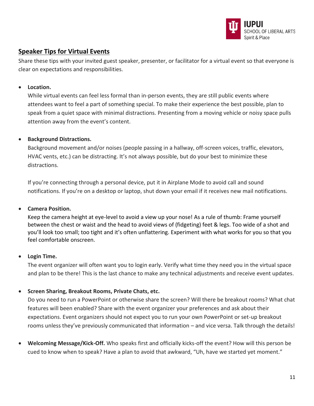

# **Speaker Tips for Virtual Events**

Share these tips with your invited guest speaker, presenter, or facilitator for a virtual event so that everyone is clear on expectations and responsibilities.

#### • **Location.**

While virtual events can feel less formal than in-person events, they are still public events where attendees want to feel a part of something special. To make their experience the best possible, plan to speak from a quiet space with minimal distractions. Presenting from a moving vehicle or noisy space pulls attention away from the event's content.

#### • **Background Distractions.**

Background movement and/or noises (people passing in a hallway, off-screen voices, traffic, elevators, HVAC vents, etc.) can be distracting. It's not always possible, but do your best to minimize these distractions.

If you're connecting through a personal device, put it in Airplane Mode to avoid call and sound notifications. If you're on a desktop or laptop, shut down your email if it receives new mail notifications.

#### • **Camera Position.**

Keep the camera height at eye-level to avoid a view up your nose! As a rule of thumb: Frame yourself between the chest or waist and the head to avoid views of (fidgeting) feet & legs. Too wide of a shot and you'll look too small; too tight and it's often unflattering. Experiment with what works for you so that you feel comfortable onscreen.

#### • **Login Time.**

The event organizer will often want you to login early. Verify what time they need you in the virtual space and plan to be there! This is the last chance to make any technical adjustments and receive event updates.

#### • **Screen Sharing, Breakout Rooms, Private Chats, etc.**

Do you need to run a PowerPoint or otherwise share the screen? Will there be breakout rooms? What chat features will been enabled? Share with the event organizer your preferences and ask about their expectations. Event organizers should not expect you to run your own PowerPoint or set-up breakout rooms unless they've previously communicated that information – and vice versa. Talk through the details!

• **Welcoming Message/Kick-Off.** Who speaks first and officially kicks-off the event? How will this person be cued to know when to speak? Have a plan to avoid that awkward, "Uh, have we started yet moment."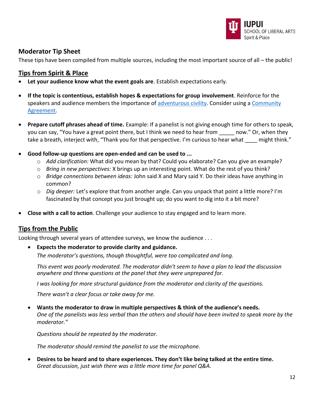

# **Moderator Tip Sheet**

These tips have been compiled from multiple sources, including the most important source of all – the public!

#### **Tips from Spirit & Place**

- **Let your audience know what the event goals are**. Establish expectations early.
- **If the topic is contentious, establish hopes & expectations for group involvement**. Reinforce for the speakers and audience members the importance of [adventurous civility.](https://onbeing.org/programs/living-the-questions-6/) Consider using a [Community](https://spiritandplace.org/wp-content/uploads/2021/09/Sample-Community-Agreement.pdf)  [Agreement.](https://spiritandplace.org/wp-content/uploads/2021/09/Sample-Community-Agreement.pdf)
- **Prepare cutoff phrases ahead of time.** Example: If a panelist is not giving enough time for others to speak, you can say, "You have a great point there, but I think we need to hear from \_\_\_\_\_ now." Or, when they take a breath, interject with, "Thank you for that perspective. I'm curious to hear what \_\_\_\_ might think."
- **Good follow-up questions are open-ended and can be used to ...** 
	- o *Add clarification:* What did you mean by that? Could you elaborate? Can you give an example?
	- o *Bring in new perspectives:* X brings up an interesting point. What do the rest of you think?
	- o *Bridge connections between ideas:* John said X and Mary said Y. Do their ideas have anything in common?
	- o *Dig deeper:* Let's explore that from another angle. Can you unpack that point a little more? I'm fascinated by that concept you just brought up; do you want to dig into it a bit more?
- **Close with a call to action**. Challenge your audience to stay engaged and to learn more.

#### **Tips from the Public**

Looking through several years of attendee surveys, we know the audience . . .

• **Expects the moderator to provide clarity and guidance.**

*The moderator's questions, though thoughtful, were too complicated and long.*

*This event was poorly moderated. The moderator didn't seem to have a plan to lead the discussion anywhere and threw questions at the panel that they were unprepared for.*

*I was looking for more structural guidance from the moderator and clarity of the questions.*

*There wasn't a clear focus or take away for me.*

• **Wants the moderator to draw in multiple perspectives & think of the audience's needs.** *One of the panelists was less verbal than the others and should have been invited to speak more by the moderator."*

*Questions should be repeated by the moderator.*

*The moderator should remind the panelist to use the microphone.*

• **Desires to be heard and to share experiences. They don't like being talked at the entire time.** *Great discussion, just wish there was a little more time for panel Q&A.*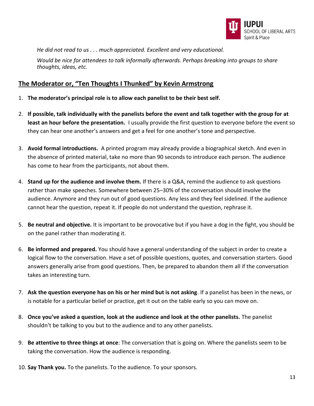

*He did not read to us . . . much appreciated. Excellent and very educational.*

*Would be nice for attendees to talk informally afterwards. Perhaps breaking into groups to share thoughts, ideas, etc.* 

## **The Moderator or, "Ten Thoughts I Thunked" by Kevin Armstrong**

- 1. **The moderator's principal role is to allow each panelist to be their best self.**
- 2. **If possible, talk individually with the panelists before the event and talk together with the group for at least an hour before the presentation.** I usually provide the first question to everyone before the event so they can hear one another's answers and get a feel for one another's tone and perspective.
- 3. **Avoid formal introductions.** A printed program may already provide a biographical sketch. And even in the absence of printed material, take no more than 90 seconds to introduce each person. The audience has come to hear from the participants, not about them.
- 4. **Stand up for the audience and involve them.** If there is a Q&A, remind the audience to ask questions rather than make speeches. Somewhere between 25–30% of the conversation should involve the audience. Anymore and they run out of good questions. Any less and they feel sidelined. If the audience cannot hear the question, repeat it. If people do not understand the question, rephrase it.
- 5. **Be neutral and objective.** It is important to be provocative but if you have a dog in the fight, you should be on the panel rather than moderating it.
- 6. **Be informed and prepared.** You should have a general understanding of the subject in order to create a logical flow to the conversation. Have a set of possible questions, quotes, and conversation starters. Good answers generally arise from good questions. Then, be prepared to abandon them all if the conversation takes an interesting turn.
- 7. **Ask the question everyone has on his or her mind but is not asking**. If a panelist has been in the news, or is notable for a particular belief or practice, get it out on the table early so you can move on.
- 8. **Once you've asked a question, look at the audience and look at the other panelists.** The panelist shouldn't be talking to you but to the audience and to any other panelists.
- 9. **Be attentive to three things at once**: The conversation that is going on. Where the panelists seem to be taking the conversation. How the audience is responding.
- 10. **Say Thank you.** To the panelists. To the audience. To your sponsors.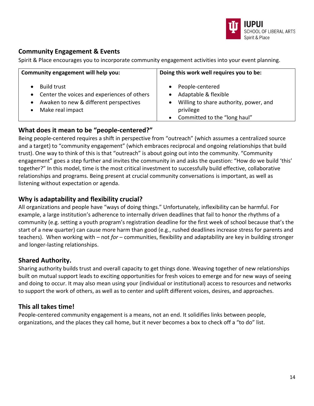

# **Community Engagement & Events**

Spirit & Place encourages you to incorporate community engagement activities into your event planning.

| Community engagement will help you:           | Doing this work well requires you to be: |  |  |
|-----------------------------------------------|------------------------------------------|--|--|
| <b>Build trust</b>                            | People-centered                          |  |  |
| • Center the voices and experiences of others | Adaptable & flexible                     |  |  |
| Awaken to new & different perspectives        | Willing to share authority, power, and   |  |  |
| $\bullet$                                     | privilege                                |  |  |
| Make real impact                              | Committed to the "long haul"             |  |  |

# **What does it mean to be "people-centered?"**

Being people-centered requires a shift in perspective from "outreach" (which assumes a centralized source and a target) to "community engagement" (which embraces reciprocal and ongoing relationships that build trust). One way to think of this is that "outreach" is about going out into the community. "Community engagement" goes a step further and invites the community in and asks the question: "How do we build 'this' together?" In this model, time is the most critical investment to successfully build effective, collaborative relationships and programs. Being present at crucial community conversations is important, as well as listening without expectation or agenda.

# **Why is adaptability and flexibility crucial?**

All organizations and people have "ways of doing things." Unfortunately, inflexibility can be harmful. For example, a large institution's adherence to internally driven deadlines that fail to honor the rhythms of a community (e.g. setting a youth program's registration deadline for the first week of school because that's the start of a new quarter) can cause more harm than good (e.g., rushed deadlines increase stress for parents and teachers). When working with – not *for* – communities, flexibility and adaptability are key in building stronger and longer-lasting relationships.

# **Shared Authority.**

Sharing authority builds trust and overall capacity to get things done. Weaving together of new relationships built on mutual support leads to exciting opportunities for fresh voices to emerge and for new ways of seeing and doing to occur. It may also mean using your (individual or institutional) access to resources and networks to support the work of others, as well as to center and uplift different voices, desires, and approaches.

# **This all takes time!**

People-centered community engagement is a means, not an end. It solidifies links between people, organizations, and the places they call home, but it never becomes a box to check off a "to do" list.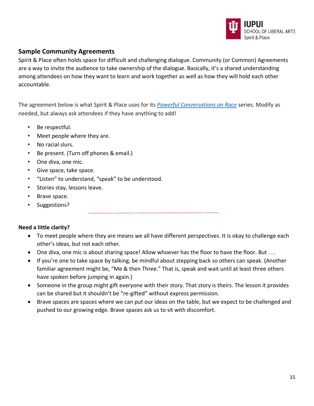

# **Sample Community Agreements**

Spirit & Place often holds space for difficult and challenging dialogue. Community (or Common) Agreements are a way to invite the audience to take ownership of the dialogue. Basically, it's a shared understanding among attendees on how they want to learn and work together as well as how they will hold each other accountable.

The agreement below is what Spirit & Place uses for its *[Powerful Conversations on Race](https://spiritandplace.org/community-dialogues-programs/powerful-conversations-on-race/)* series. Modify as needed, but always ask attendees if they have anything to add!

- Be respectful.
- Meet people where they are.
- No racial slurs.
- Be present. (Turn off phones & email.)
- One diva, one mic.
- Give space, take space.
- "Listen" to understand, "speak" to be understood.
- Stories stay, lessons leave.
- Brave space.
- Suggestions?

#### **Need a little clarity?**

- To meet people where they are means we all have different perspectives. It is okay to challenge each other's ideas, but not each other.
- One diva, one mic is about sharing space! Allow whoever has the floor to have the floor. But . . .
- If you're one to take space by talking, be mindful about stepping back so others can speak. (Another familiar agreement might be, "Me & then Three." That is, speak and wait until at least three others have spoken before jumping in again.)
- Someone in the group might gift everyone with their story. That story is theirs. The lesson it provides can be shared but it shouldn't be "re-gifted" without express permission.
- Brave spaces are spaces where we can put our ideas on the table, but we expect to be challenged and pushed to our growing edge. Brave spaces ask us to sit with discomfort.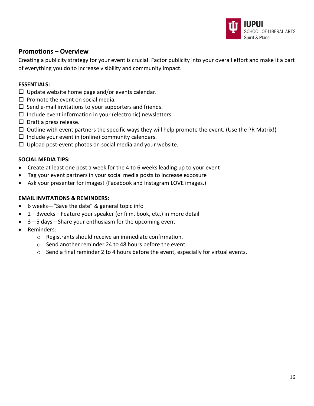

#### **Promotions – Overview**

Creating a publicity strategy for your event is crucial. Factor publicity into your overall effort and make it a part of everything you do to increase visibility and community impact.

#### **ESSENTIALS:**

- $\square$  Update website home page and/or events calendar.
- $\square$  Promote the event on social media.
- $\square$  Send e-mail invitations to your supporters and friends.
- $\square$  Include event information in your (electronic) newsletters.
- $\square$  Draft a press release.
- $\Box$  Outline with event partners the specific ways they will help promote the event. (Use the PR Matrix!)
- $\square$  Include your event in (online) community calendars.
- $\Box$  Upload post-event photos on social media and your website.

#### **SOCIAL MEDIA TIPS:**

- Create at least one post a week for the 4 to 6 weeks leading up to your event
- Tag your event partners in your social media posts to increase exposure
- Ask your presenter for images! (Facebook and Instagram LOVE images.)

#### **EMAIL INVITATIONS & REMINDERS:**

- 6 weeks—"Save the date" & general topic info
- 2—3weeks—Feature your speaker (or film, book, etc.) in more detail
- 3—5 days—Share your enthusiasm for the upcoming event
- Reminders:
	- o Registrants should receive an immediate confirmation.
	- o Send another reminder 24 to 48 hours before the event.
	- $\circ$  Send a final reminder 2 to 4 hours before the event, especially for virtual events.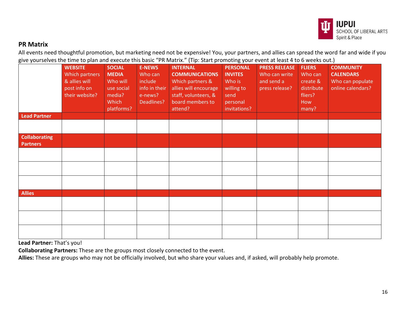

# **PR Matrix**

All events need thoughtful promotion, but marketing need not be expensive! You, your partners, and allies can spread the word far and wide if you give yourselves the time to plan and execute this basic "PR Matrix." (Tip: Start promoting your event at least 4 to 6 weeks out.)

|                                         | <b>WEBSITE</b><br>Which partners<br>& allies will<br>post info on<br>their website? | <b>SOCIAL</b><br><b>MEDIA</b><br>Who will<br>use social<br>media?<br>Which | <b>E-NEWS</b><br>Who can<br>include<br>info in their<br>e-news?<br>Deadlines? | .<br><b>INTERNAL</b><br><b>COMMUNICATIONS</b><br>Which partners &<br>allies will encourage<br>staff, volunteers, &<br>board members to | $\sim$ ,<br><b>PERSONAL</b><br><b>INVITES</b><br>Who is<br>willing to<br>send<br>personal | <b>PRESS RELEASE</b><br>Who can write<br>and send a<br>press release? | <b>FLIERS</b><br>Who can<br>create &<br>distribute<br>fliers?<br>How | <b>COMMUNITY</b><br><b>CALENDARS</b><br>Who can populate<br>online calendars? |
|-----------------------------------------|-------------------------------------------------------------------------------------|----------------------------------------------------------------------------|-------------------------------------------------------------------------------|----------------------------------------------------------------------------------------------------------------------------------------|-------------------------------------------------------------------------------------------|-----------------------------------------------------------------------|----------------------------------------------------------------------|-------------------------------------------------------------------------------|
|                                         |                                                                                     | platforms?                                                                 |                                                                               | attend?                                                                                                                                | invitations?                                                                              |                                                                       | many?                                                                |                                                                               |
| <b>Lead Partner</b>                     |                                                                                     |                                                                            |                                                                               |                                                                                                                                        |                                                                                           |                                                                       |                                                                      |                                                                               |
|                                         |                                                                                     |                                                                            |                                                                               |                                                                                                                                        |                                                                                           |                                                                       |                                                                      |                                                                               |
| <b>Collaborating</b><br><b>Partners</b> |                                                                                     |                                                                            |                                                                               |                                                                                                                                        |                                                                                           |                                                                       |                                                                      |                                                                               |
|                                         |                                                                                     |                                                                            |                                                                               |                                                                                                                                        |                                                                                           |                                                                       |                                                                      |                                                                               |
|                                         |                                                                                     |                                                                            |                                                                               |                                                                                                                                        |                                                                                           |                                                                       |                                                                      |                                                                               |
|                                         |                                                                                     |                                                                            |                                                                               |                                                                                                                                        |                                                                                           |                                                                       |                                                                      |                                                                               |
| <b>Allies</b>                           |                                                                                     |                                                                            |                                                                               |                                                                                                                                        |                                                                                           |                                                                       |                                                                      |                                                                               |
|                                         |                                                                                     |                                                                            |                                                                               |                                                                                                                                        |                                                                                           |                                                                       |                                                                      |                                                                               |
|                                         |                                                                                     |                                                                            |                                                                               |                                                                                                                                        |                                                                                           |                                                                       |                                                                      |                                                                               |
|                                         |                                                                                     |                                                                            |                                                                               |                                                                                                                                        |                                                                                           |                                                                       |                                                                      |                                                                               |

**Lead Partner:** That's you!

**Collaborating Partners:** These are the groups most closely connected to the event.

**Allies:** These are groups who may not be officially involved, but who share your values and, if asked, will probably help promote.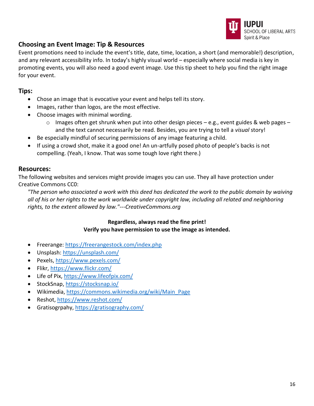

# **Choosing an Event Image: Tip & Resources**

Event promotions need to include the event's title, date, time, location, a short (and memorable!) description, and any relevant accessibility info. In today's highly visual world – especially where social media is key in promoting events, you will also need a good event image. Use this tip sheet to help you find the right image for your event.

## **Tips:**

- Chose an image that is evocative your event and helps tell its story.
- Images, rather than logos, are the most effective.
- Choose images with minimal wording.
	- $\circ$  Images often get shrunk when put into other design pieces e.g., event guides & web pages and the text cannot necessarily be read. Besides, you are trying to tell a *visual* story!
- Be especially mindful of securing permissions of any image featuring a child.
- If using a crowd shot, make it a good one! An un-artfully posed photo of people's backs is not compelling. (Yeah, I know. That was some tough love right there.)

#### **Resources:**

The following websites and services might provide images you can use. They all have protection under Creative Commons CC0:

*"The person who associated a work with this deed has dedicated the work to the public domain by waiving all of his or her rights to the work worldwide under copyright law, including all related and neighboring rights, to the extent allowed by law."---CreativeCommons.org*

#### **Regardless, always read the fine print! Verify you have permission to use the image as intended.**

- Freerange:<https://freerangestock.com/index.php>
- Unsplash:<https://unsplash.com/>
- Pexels,<https://www.pexels.com/>
- Flikr,<https://www.flickr.com/>
- Life of Pix[, https://www.lifeofpix.com/](https://www.lifeofpix.com/)
- StockSnap,<https://stocksnap.io/>
- Wikimedia[, https://commons.wikimedia.org/wiki/Main\\_Page](https://commons.wikimedia.org/wiki/Main_Page)
- Reshot,<https://www.reshot.com/>
- Gratisogrpahy[, https://gratisography.com/](https://gratisography.com/)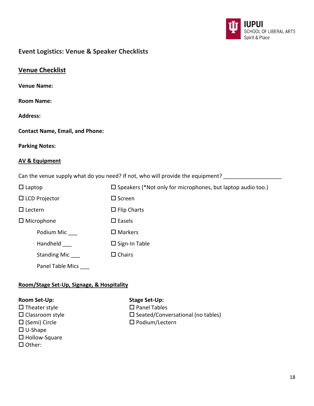

# **Event Logistics: Venue & Speaker Checklists**

|--|

**Room Name:**

**Address:**

| <b>Contact Name, Email, and Phone:</b> |  |  |  |
|----------------------------------------|--|--|--|
|----------------------------------------|--|--|--|

**Parking Notes:**

#### **AV & Equipment**

Can the venue supply what do you need? If not, who will provide the equipment? \_\_\_\_\_\_\_\_\_\_\_\_\_\_\_\_\_\_\_\_

| $\Box$ Laptop        | $\square$ Speakers (*Not only for microphones, but laptop audio too.) |
|----------------------|-----------------------------------------------------------------------|
| $\Box$ LCD Projector | $\square$ Screen                                                      |
| $\Box$ Lectern       | $\Box$ Flip Charts                                                    |
| $\Box$ Microphone    | $\square$ Easels                                                      |
| Podium Mic           | $\square$ Markers                                                     |
| Handheld             | $\square$ Sign-In Table                                               |
| <b>Standing Mic</b>  | $\Box$ Chairs                                                         |
| Panel Table Mics     |                                                                       |

# **Room/Stage Set-Up, Signage, & Hospitality**

- $\square$  Theater style  $\square$  Panel Tables
- 
- U-Shape
- □ Hollow-Square
- $\Box$  Other:

#### **Room Set-Up: Stage Set-Up:**

- $\square$  Classroom style  $\square$  Seated/Conversational (no tables)
- $\square$  (Semi) Circle  $\square$  Podium/Lectern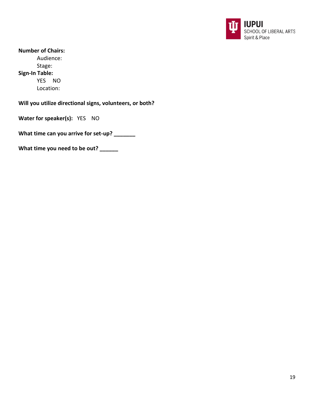

**Number of Chairs:** Audience: Stage: **Sign-In Table:**  YES NO Location:

**Will you utilize directional signs, volunteers, or both?** 

**Water for speaker(s):** YES NO

**What time can you arrive for set-up? \_\_\_\_\_\_\_**

**What time you need to be out? \_\_\_\_\_\_**